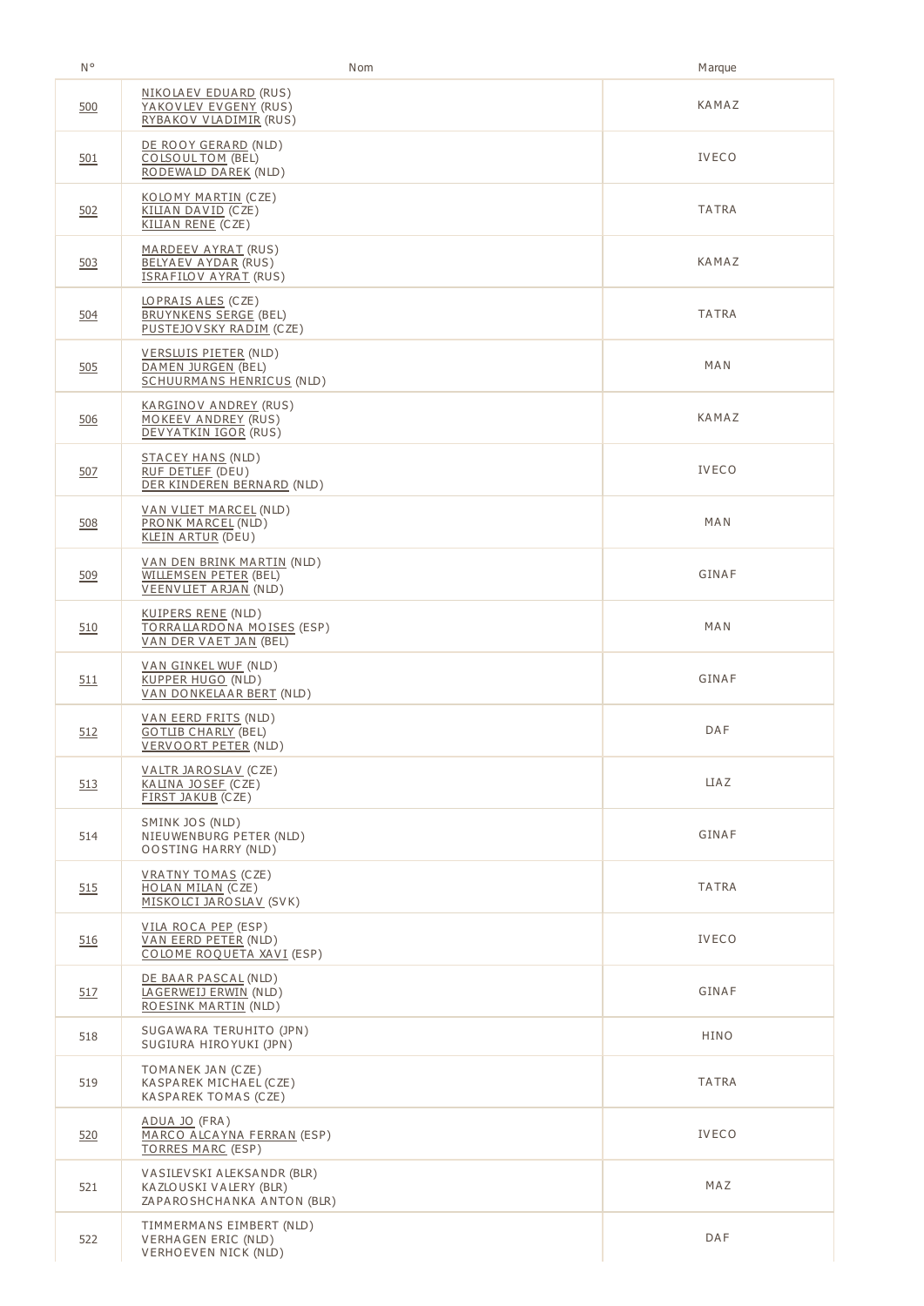| N°  | Nom                                                                                        | <b>Marque</b> |
|-----|--------------------------------------------------------------------------------------------|---------------|
| 500 | <u>NIKOLAEV EDUARD</u> (RUS)<br>YAKOVLEV EVGENY (RUS)<br>RYBAKOV VLADIMIR (RUS)            | KAMAZ         |
| 501 | DE ROOY GERARD (NLD)<br>COLSOUL TOM (BEL)<br>RODEWALD DAREK (NLD)                          | <b>IVECO</b>  |
| 502 | KOLOMY MARTIN (CZE)<br>KILIAN DAVID (CZE)<br>KILIAN RENE (CZE)                             | TATRA         |
| 503 | MARDEEV AYRAT (RUS)<br><b>BELYAEV AYDAR (RUS)</b><br><b>ISRAFILOV AYRAT (RUS)</b>          | KAMAZ         |
| 504 | LOPRAIS ALES (CZE)<br><b>BRUYNKENS SERGE (BEL)</b><br>PUSTEJOVSKY RADIM (CZE)              | <b>TATRA</b>  |
| 505 | <u>VERSLUIS PIETER</u> (NLD)<br>DAMEN JURGEN (BEL)<br><b>SCHUURMANS HENRICUS (NLD)</b>     | MAN           |
| 506 | <u>KARGINOV ANDREY</u> (RUS)<br>MOKEEV ANDREY (RUS)<br>DEVYATKIN IGOR (RUS)                | KAMAZ         |
| 507 | STACEY HANS (NLD)<br>RUF DETLEF (DEU)<br>DER KINDEREN BERNARD (NLD)                        | <b>IVECO</b>  |
| 508 | <u>VAN VLIET MARCEL</u> (NLD)<br>PRONK MARCEL (NLD)<br><b>KLEIN ARTUR (DEU)</b>            | MAN           |
| 509 | <u>VAN DEN BRINK MARTIN</u> (NLD)<br>WILLEMSEN PETER (BEL)<br><b>VEENVLIET ARJAN (NLD)</b> | GINAF         |
| 510 | KUIPERS RENE (NLD)<br>TORRALLARDONA MOISES (ESP)<br>VAN DER VAET JAN (BEL)                 | MAN           |
| 511 | VAN GINKEL WUE (NLD)<br>KUPPER HUGO (NLD)<br>VAN DONKELAAR BERT (NLD)                      | GINAF         |
| 512 | <u>VAN EERD FRITS</u> (NLD)<br><b>GOTLIB CHARLY (BEL)</b><br>VERVOORT PETER (NLD)          | DAF           |
| 513 | VALTR JAROSLAV (CZE)<br>KALINA JOSEF (CZE)<br>FIRST JAKUB (CZE)                            | <b>LIAZ</b>   |
| 514 | SMINK JOS (NLD)<br>NIEUWENBURG PETER (NLD)<br><b>OOSTING HARRY (NLD)</b>                   | GINAF         |
| 515 | <b>VRATNY TOMAS (CZE)</b><br>HOLAN MILAN (CZE)<br>MISKOLCI JAROSLAV (SVK)                  | <b>TATRA</b>  |
| 516 | VILA ROCA PEP (ESP)<br>VAN EERD PETER (NLD)<br>COLOME ROQUETA XAVI (ESP)                   | <b>IVECO</b>  |
| 517 | DE BAAR PASCAL (NLD)<br>LAGERWEIJ ERWIN (NLD)<br>ROESINK MARTIN (NLD)                      | GINAF         |
| 518 | SUGAWARA TERUHITO (JPN)<br>SUGIURA HIROYUKI (JPN)                                          | HINO          |
| 519 | TOMANEK JAN (CZE)<br>KASPAREK MICHAEL (CZE)<br>KASPAREK TOMAS (CZE)                        | <b>TATRA</b>  |
| 520 | ADUA JO (FRA)<br>MARCO ALCAYNA FERRAN (ESP)<br><b>TORRES MARC (ESP)</b>                    | <b>IVECO</b>  |
| 521 | VASILEVSKI ALEKSANDR (BLR)<br>KAZLOUSKI VALERY (BLR)<br>ZAPAROSHCHANKA ANTON (BLR)         | MAZ           |
| 522 | TIMMERMANS EIMBERT (NLD)<br>VERHAGEN ERIC (NLD)<br>VERHOEVEN NICK (NLD)                    | DAF           |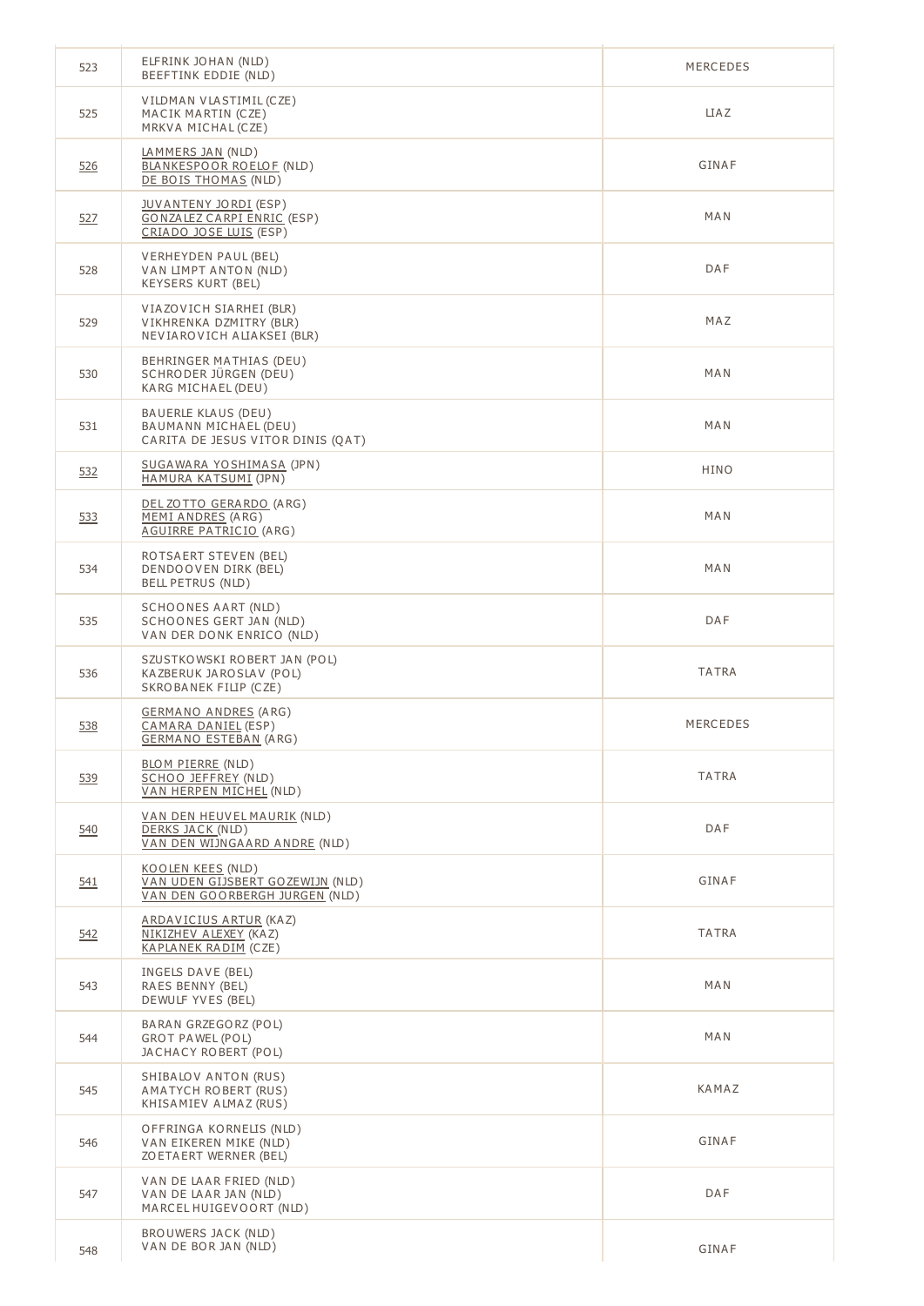| 523 | ELFRINK JOHAN (NLD)<br>BEEFTINK EDDIE (NLD)                                             | MERCEDES     |
|-----|-----------------------------------------------------------------------------------------|--------------|
| 525 | VILDMAN VLASTIMIL (CZE)<br>MACIK MARTIN (CZE)<br>MRKVA MICHAL (CZE)                     | <b>LIAZ</b>  |
| 526 | <u>LAMMERS JAN</u> (NLD)<br>BLANKESPOOR ROELOF (NLD)<br>DE BOIS THOMAS (NLD)            | GINAF        |
| 527 | JUVANTENY JORDI (ESP)<br><b>GONZALEZ CARPI ENRIC (ESP)</b><br>CRIADO JOSE LUIS (ESP)    | MAN          |
| 528 | VERHEYDEN PAUL (BEL)<br>VAN LIMPT ANTON (NLD)<br>KEYSERS KURT (BEL)                     | DAF          |
| 529 | VIAZOVICH SIARHEI (BLR)<br>VIKHRENKA DZMITRY (BLR)<br>NEVIAROVICH ALIAKSEI (BLR)        | MAZ          |
| 530 | BEHRINGER MATHIAS (DEU)<br>SCHRODER JÜRGEN (DEU)<br>KARG MICHAEL (DEU)                  | MAN          |
| 531 | BAUERLE KLAUS (DEU)<br>BAUMANN MICHAEL (DEU)<br>CARITA DE JESUS VITOR DINIS (QAT)       | MAN          |
| 532 | <u>SUGAWARA YOSHIMASA</u> (JPN)<br>HAMURA KATSUMI (JPN)                                 | HINO         |
| 533 | DEL ZOTTO GERARDO (ARG)<br>MEMI ANDRES (ARG)<br><b>AGUIRRE PATRICIO (ARG)</b>           | MAN          |
| 534 | ROTSAERT STEVEN (BEL)<br>DENDOOVEN DIRK (BEL)<br><b>BELL PETRUS (NLD)</b>               | MAN          |
| 535 | SCHOONES AART (NLD)<br>SCHOONES GERT JAN (NLD)<br>VAN DER DONK ENRICO (NLD)             | DAF          |
| 536 | SZUSTKOWSKI ROBERT JAN (POL)<br>KAZBERUK JAROSLAV (POL)<br>SKROBANEK FILIP (CZE)        | <b>TATRA</b> |
| 538 | <u>GERMANO ANDRES</u> (ARG)<br>CAMARA DANIEL (ESP)<br><b>GERMANO ESTEBAN (ARG)</b>      | MERCEDES     |
| 539 | <b>BLOM PIERRE (NLD)</b><br>SCHOO JEFFREY (NLD)<br>VAN HERPEN MICHEL (NLD)              | TATRA        |
| 540 | VAN DEN HEUVEL MAURIK (NLD)<br>DERKS JACK (NLD)<br>VAN DEN WIJNGAARD ANDRE (NLD)        | DAF          |
| 541 | KOOLEN KEES (NLD)<br>VAN UDEN GIJSBERT GOZEWIJN (NLD)<br>VAN DEN GOORBERGH JURGEN (NLD) | GINAF        |
| 542 | ARDAVICIUS ARTUR (KAZ)<br>NIKIZHEV ALEXEY (KAZ)<br>KAPLANEK RADIM (CZE)                 | <b>TATRA</b> |
| 543 | INGELS DAVE (BEL)<br>RAES BENNY (BEL)<br>DEWULF YVES (BEL)                              | MAN          |
| 544 | BARAN GRZEGORZ (POL)<br>GROT PAWEL (POL)<br>JACHACY ROBERT (POL)                        | MAN          |
| 545 | SHIBALOV ANTON (RUS)<br>AMATYCH ROBERT (RUS)<br>KHISAMIEV ALMAZ (RUS)                   | KAMAZ        |
| 546 | OFFRINGA KORNELIS (NLD)<br>VAN EIKEREN MIKE (NLD)<br>ZO ETA ERT WERNER (BEL)            | GINAF        |
| 547 | VAN DE LAAR FRIED (NLD)<br>VAN DE LAAR JAN (NLD)<br>MARCEL HUIGEVOORT (NLD)             | DAF          |
| 548 | BROUWERS JACK (NLD)<br>VAN DE BOR JAN (NLD)                                             | GINAF        |